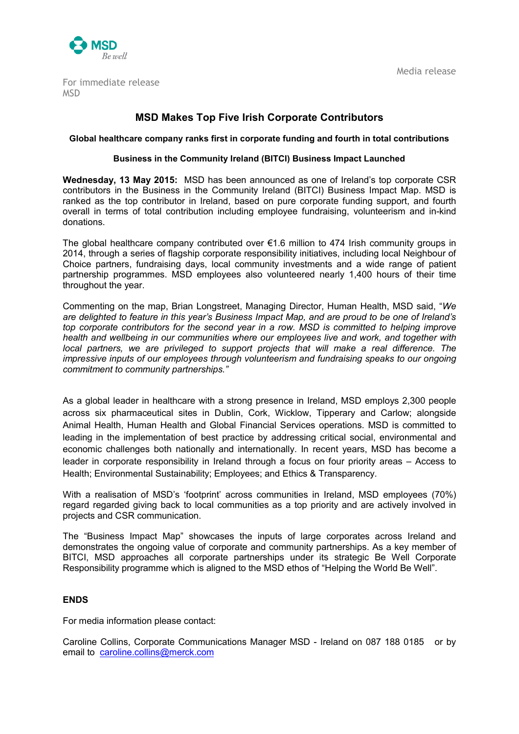

Media release

For immediate release [MSD](http://newsroom.intel.com/community/en_ie/blog/2011/09/01/intel-ireland-contributes-to-bitc-business-impact-map)

# **MSD Makes Top Five Irish Corporate Contributors**

#### **Global healthcare company ranks first in corporate funding and fourth in total contributions**

## **Business in the Community Ireland (BITCI) Business Impact Launched**

**Wednesday, 13 May 2015:** MSD has been announced as one of Ireland's top corporate CSR contributors in the Business in the Community Ireland (BITCI) Business Impact Map. MSD is ranked as the top contributor in Ireland, based on pure corporate funding support, and fourth overall in terms of total contribution including employee fundraising, volunteerism and in-kind donations.

The global healthcare company contributed over €1.6 million to 474 Irish community groups in 2014, through a series of flagship corporate responsibility initiatives, including local Neighbour of Choice partners, fundraising days, local community investments and a wide range of patient partnership programmes. MSD employees also volunteered nearly 1,400 hours of their time throughout the year.

Commenting on the map, Brian Longstreet, Managing Director, Human Health, MSD said, "*We are delighted to feature in this year's Business Impact Map, and are proud to be one of Ireland's top corporate contributors for the second year in a row. MSD is committed to helping improve health and wellbeing in our communities where our employees live and work, and together with local partners, we are privileged to support projects that will make a real difference. The impressive inputs of our employees through volunteerism and fundraising speaks to our ongoing commitment to community partnerships."*

As a global leader in healthcare with a strong presence in Ireland, MSD employs 2,300 people across six pharmaceutical sites in Dublin, Cork, Wicklow, Tipperary and Carlow; alongside Animal Health, Human Health and Global Financial Services operations. MSD is committed to leading in the implementation of best practice by addressing critical social, environmental and economic challenges both nationally and internationally. In recent years, MSD has become a leader in corporate responsibility in Ireland through a focus on four priority areas – Access to Health; Environmental Sustainability; Employees; and Ethics & Transparency.

With a realisation of MSD's 'footprint' across communities in Ireland, MSD employees (70%) regard regarded giving back to local communities as a top priority and are actively involved in projects and CSR communication.

The "Business Impact Map" showcases the inputs of large corporates across Ireland and demonstrates the ongoing value of corporate and community partnerships. As a key member of BITCI, MSD approaches all corporate partnerships under its strategic Be Well Corporate Responsibility programme which is aligned to the MSD ethos of "Helping the World Be Well".

## **ENDS**

For media information please contact:

Caroline Collins, Corporate Communications Manager MSD - Ireland on 087 188 0185 or by email to [caroline.collins@merck.com](mailto:caroline.collins@merck.com)